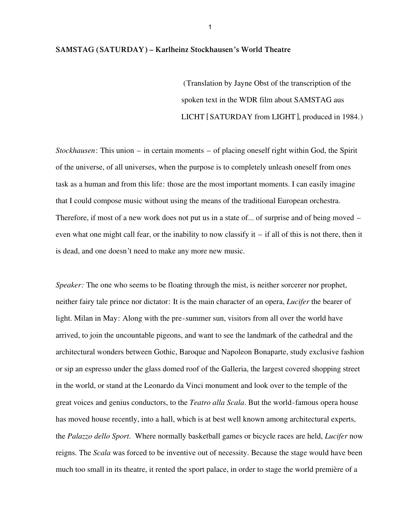## **SAMSTAG (SATURDAY) – Karlheinz Stockhausen's World Theatre**

(Translation by Jayne Obst of the transcription of the spoken text in the WDR film about SAMSTAG aus LICHT [SATURDAY from LIGHT], produced in 1984.)

*Stockhausen*: This union – in certain moments – of placing oneself right within God, the Spirit of the universe, of all universes, when the purpose is to completely unleash oneself from ones task as a human and from this life: those are the most important moments. I can easily imagine that I could compose music without using the means of the traditional European orchestra. Therefore, if most of a new work does not put us in a state of... of surprise and of being moved – even what one might call fear, or the inability to now classify it  $-$  if all of this is not there, then it is dead, and one doesn't need to make any more new music.

*Speaker:* The one who seems to be floating through the mist, is neither sorcerer nor prophet, neither fairy tale prince nor dictator: It is the main character of an opera, *Lucifer* the bearer of light. Milan in May: Along with the pre-summer sun, visitors from all over the world have arrived, to join the uncountable pigeons, and want to see the landmark of the cathedral and the architectural wonders between Gothic, Baroque and Napoleon Bonaparte, study exclusive fashion or sip an espresso under the glass domed roof of the Galleria, the largest covered shopping street in the world, or stand at the Leonardo da Vinci monument and look over to the temple of the great voices and genius conductors, to the *Teatro alla Scala*. But the world-famous opera house has moved house recently, into a hall, which is at best well known among architectural experts, the *Palazzo dello Sport*. Where normally basketball games or bicycle races are held, *Lucifer* now reigns. The *Scala* was forced to be inventive out of necessity. Because the stage would have been much too small in its theatre, it rented the sport palace, in order to stage the world première of a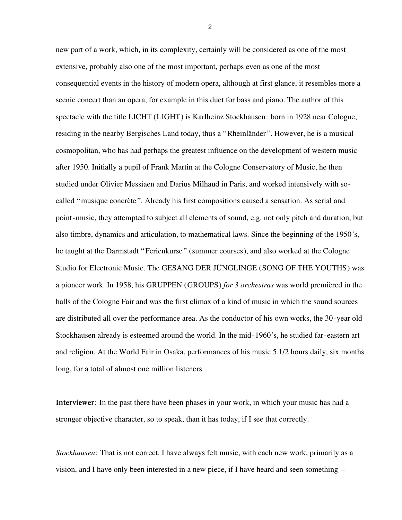new part of a work, which, in its complexity, certainly will be considered as one of the most extensive, probably also one of the most important, perhaps even as one of the most consequential events in the history of modern opera, although at first glance, it resembles more a scenic concert than an opera, for example in this duet for bass and piano. The author of this spectacle with the title LICHT (LIGHT) is Karlheinz Stockhausen: born in 1928 near Cologne, residing in the nearby Bergisches Land today, thus a "Rheinländer". However, he is a musical cosmopolitan, who has had perhaps the greatest influence on the development of western music after 1950. Initially a pupil of Frank Martin at the Cologne Conservatory of Music, he then studied under Olivier Messiaen and Darius Milhaud in Paris, and worked intensively with socalled "musique concrète". Already his first compositions caused a sensation. As serial and point-music, they attempted to subject all elements of sound, e.g. not only pitch and duration, but also timbre, dynamics and articulation, to mathematical laws. Since the beginning of the 1950's, he taught at the Darmstadt "Ferienkurse" (summer courses), and also worked at the Cologne Studio for Electronic Music. The GESANG DER JÜNGLINGE (SONG OF THE YOUTHS) was a pioneer work. In 1958, his GRUPPEN (GROUPS) *for 3 orchestras* was world premièred in the halls of the Cologne Fair and was the first climax of a kind of music in which the sound sources are distributed all over the performance area. As the conductor of his own works, the 30-year old Stockhausen already is esteemed around the world. In the mid-1960's, he studied far-eastern art and religion. At the World Fair in Osaka, performances of his music 5 1/2 hours daily, six months long, for a total of almost one million listeners.

**Interviewer**: In the past there have been phases in your work, in which your music has had a stronger objective character, so to speak, than it has today, if I see that correctly.

*Stockhausen*: That is not correct. I have always felt music, with each new work, primarily as a vision, and I have only been interested in a new piece, if I have heard and seen something –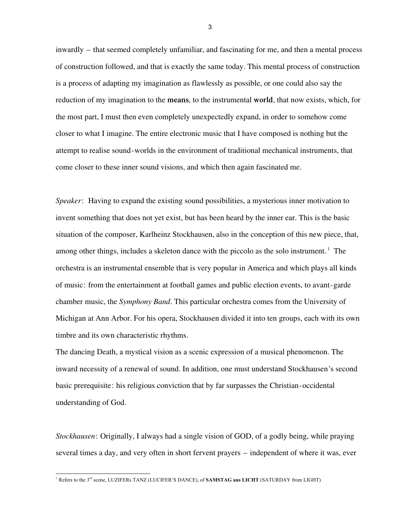inwardly – that seemed completely unfamiliar, and fascinating for me, and then a mental process of construction followed, and that is exactly the same today. This mental process of construction is a process of adapting my imagination as flawlessly as possible, or one could also say the reduction of my imagination to the **means**, to the instrumental **world**, that now exists, which, for the most part, I must then even completely unexpectedly expand, in order to somehow come closer to what I imagine. The entire electronic music that I have composed is nothing but the attempt to realise sound-worlds in the environment of traditional mechanical instruments, that come closer to these inner sound visions, and which then again fascinated me.

*Speaker*: Having to expand the existing sound possibilities, a mysterious inner motivation to invent something that does not yet exist, but has been heard by the inner ear. This is the basic situation of the composer, Karlheinz Stockhausen, also in the conception of this new piece, that, among other things, includes a skeleton dance with the piccolo as the solo instrument.<sup>1</sup> The orchestra is an instrumental ensemble that is very popular in America and which plays all kinds of music: from the entertainment at football games and public election events, to avant-garde chamber music, the *Symphony Band*. This particular orchestra comes from the University of Michigan at Ann Arbor. For his opera, Stockhausen divided it into ten groups, each with its own timbre and its own characteristic rhythms.

The dancing Death, a mystical vision as a scenic expression of a musical phenomenon. The inward necessity of a renewal of sound. In addition, one must understand Stockhausen's second basic prerequisite: his religious conviction that by far surpasses the Christian-occidental understanding of God.

*Stockhausen*: Originally, I always had a single vision of GOD, of a godly being, while praying several times a day, and very often in short fervent prayers – independent of where it was, ever

-

<sup>1</sup> Refers to the 3rd scene, LUZIFERs TANZ (LUCIFER'S DANCE), of **SAMSTAG aus LICHT** (SATURDAY from LIGHT)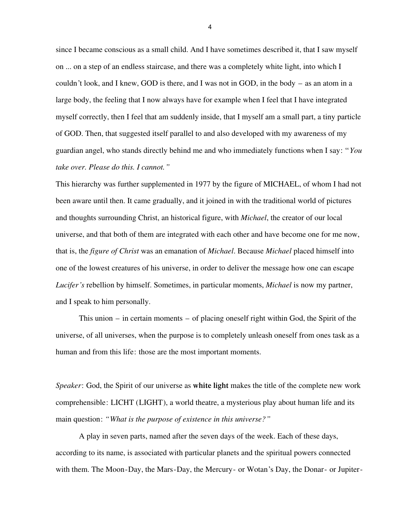since I became conscious as a small child. And I have sometimes described it, that I saw myself on ... on a step of an endless staircase, and there was a completely white light, into which I couldn't look, and I knew, GOD is there, and I was not in GOD, in the body – as an atom in a large body, the feeling that I now always have for example when I feel that I have integrated myself correctly, then I feel that am suddenly inside, that I myself am a small part, a tiny particle of GOD. Then, that suggested itself parallel to and also developed with my awareness of my guardian angel, who stands directly behind me and who immediately functions when I say: "*You take over. Please do this. I cannot."*

This hierarchy was further supplemented in 1977 by the figure of MICHAEL, of whom I had not been aware until then. It came gradually, and it joined in with the traditional world of pictures and thoughts surrounding Christ, an historical figure, with *Michael*, the creator of our local universe, and that both of them are integrated with each other and have become one for me now, that is, the *figure of Christ* was an emanation of *Michael*. Because *Michael* placed himself into one of the lowest creatures of his universe, in order to deliver the message how one can escape *Lucifer's* rebellion by himself. Sometimes, in particular moments, *Michael* is now my partner, and I speak to him personally.

This union – in certain moments – of placing oneself right within God, the Spirit of the universe, of all universes, when the purpose is to completely unleash oneself from ones task as a human and from this life: those are the most important moments.

*Speaker*: God, the Spirit of our universe as **white light** makes the title of the complete new work comprehensible: LICHT (LIGHT), a world theatre, a mysterious play about human life and its main question: *"What is the purpose of existence in this universe?"*

A play in seven parts, named after the seven days of the week. Each of these days, according to its name, is associated with particular planets and the spiritual powers connected with them. The Moon-Day, the Mars-Day, the Mercury- or Wotan's Day, the Donar- or Jupiter-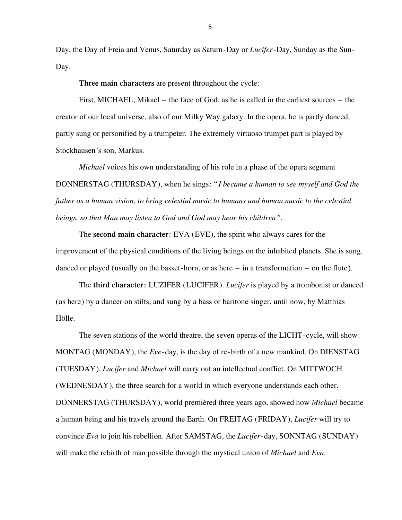Day, the Day of Freia and Venus, Saturday as Saturn-Day or *Lucifer*-Day, Sunday as the Sun-Day.

**Three main characters** are present throughout the cycle:

First, MICHAEL, Mikael – the face of God, as he is called in the earliest sources – the creator of our local universe, also of our Milky Way galaxy. In the opera, he is partly danced, partly sung or personified by a trumpeter. The extremely virtuoso trumpet part is played by Stockhausen's son, Markus.

*Michael* voices his own understanding of his role in a phase of the opera segment DONNERSTAG (THURSDAY), when he sings: "*I became a human to see myself and God the father as a human vision, to bring celestial music to humans and human music to the celestial beings, so that Man may listen to God and God may hear his children"*.

The **second main character**: EVA (EVE), the spirit who always cares for the improvement of the physical conditions of the living beings on the inhabited planets. She is sung, danced or played (usually on the basset-horn, or as here – in a transformation – on the flute).

The **third character:** LUZIFER (LUCIFER). *Lucifer* is played by a trombonist or danced (as here) by a dancer on stilts, and sung by a bass or baritone singer, until now, by Matthias Hölle.

The seven stations of the world theatre, the seven operas of the LICHT-cycle, will show: MONTAG (MONDAY), the *Eve*-day, is the day of re-birth of a new mankind. On DIENSTAG (TUESDAY), *Lucifer* and *Michael* will carry out an intellectual conflict. On MITTWOCH (WEDNESDAY), the three search for a world in which everyone understands each other. DONNERSTAG (THURSDAY), world premièred three years ago, showed how *Michael* became a human being and his travels around the Earth. On FREITAG (FRIDAY), *Lucifer* will try to convince *Eva* to join his rebellion. After SAMSTAG, the *Lucifer*-day, SONNTAG (SUNDAY) will make the rebirth of man possible through the mystical union of *Michael* and *Eva*.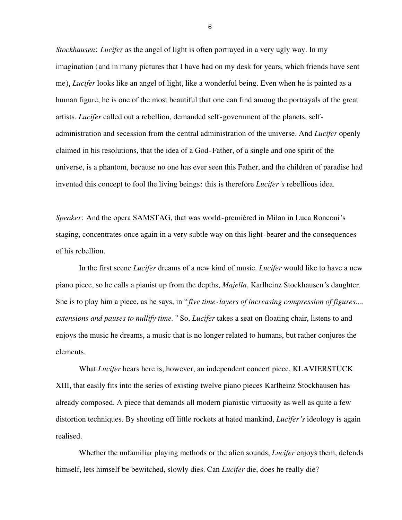*Stockhausen*: *Lucifer* as the angel of light is often portrayed in a very ugly way. In my imagination (and in many pictures that I have had on my desk for years, which friends have sent me), *Lucifer* looks like an angel of light, like a wonderful being. Even when he is painted as a human figure, he is one of the most beautiful that one can find among the portrayals of the great artists. *Lucifer* called out a rebellion, demanded self-government of the planets, selfadministration and secession from the central administration of the universe. And *Lucifer* openly claimed in his resolutions, that the idea of a God-Father, of a single and one spirit of the universe, is a phantom, because no one has ever seen this Father, and the children of paradise had invented this concept to fool the living beings: this is therefore *Lucifer's* rebellious idea.

*Speaker*: And the opera SAMSTAG, that was world-premièred in Milan in Luca Ronconi's staging, concentrates once again in a very subtle way on this light-bearer and the consequences of his rebellion.

In the first scene *Lucifer* dreams of a new kind of music. *Lucifer* would like to have a new piano piece, so he calls a pianist up from the depths, *Majella*, Karlheinz Stockhausen's daughter. She is to play him a piece, as he says, in "*five time-layers of increasing compression of figures..., extensions and pauses to nullify time."* So, *Lucifer* takes a seat on floating chair, listens to and enjoys the music he dreams, a music that is no longer related to humans, but rather conjures the elements.

What *Lucifer* hears here is, however, an independent concert piece, KLAVIERSTÜCK XIII, that easily fits into the series of existing twelve piano pieces Karlheinz Stockhausen has already composed. A piece that demands all modern pianistic virtuosity as well as quite a few distortion techniques. By shooting off little rockets at hated mankind, *Lucifer's* ideology is again realised.

Whether the unfamiliar playing methods or the alien sounds, *Lucifer* enjoys them, defends himself, lets himself be bewitched, slowly dies. Can *Lucifer* die, does he really die?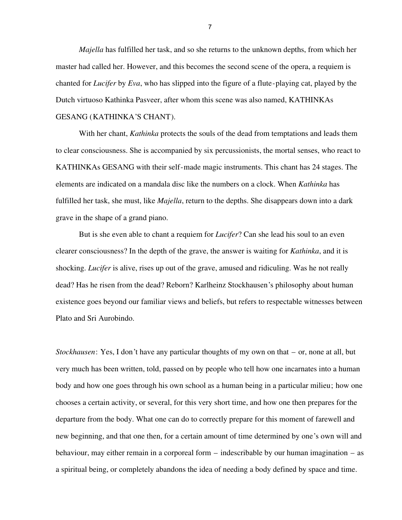*Majella* has fulfilled her task, and so she returns to the unknown depths, from which her master had called her. However, and this becomes the second scene of the opera, a requiem is chanted for *Lucifer* by *Eva*, who has slipped into the figure of a flute-playing cat, played by the Dutch virtuoso Kathinka Pasveer, after whom this scene was also named, KATHINKAs GESANG (KATHINKA'S CHANT).

## With her chant, *Kathinka* protects the souls of the dead from temptations and leads them to clear consciousness. She is accompanied by six percussionists, the mortal senses, who react to KATHINKAs GESANG with their self-made magic instruments. This chant has 24 stages. The elements are indicated on a mandala disc like the numbers on a clock. When *Kathinka* has fulfilled her task, she must, like *Majella*, return to the depths. She disappears down into a dark grave in the shape of a grand piano.

But is she even able to chant a requiem for *Lucifer*? Can she lead his soul to an even clearer consciousness? In the depth of the grave, the answer is waiting for *Kathinka*, and it is shocking. *Lucifer* is alive, rises up out of the grave, amused and ridiculing. Was he not really dead? Has he risen from the dead? Reborn? Karlheinz Stockhausen's philosophy about human existence goes beyond our familiar views and beliefs, but refers to respectable witnesses between Plato and Sri Aurobindo.

*Stockhausen*: Yes, I don't have any particular thoughts of my own on that – or, none at all, but very much has been written, told, passed on by people who tell how one incarnates into a human body and how one goes through his own school as a human being in a particular milieu; how one chooses a certain activity, or several, for this very short time, and how one then prepares for the departure from the body. What one can do to correctly prepare for this moment of farewell and new beginning, and that one then, for a certain amount of time determined by one's own will and behaviour, may either remain in a corporeal form – indescribable by our human imagination – as a spiritual being, or completely abandons the idea of needing a body defined by space and time.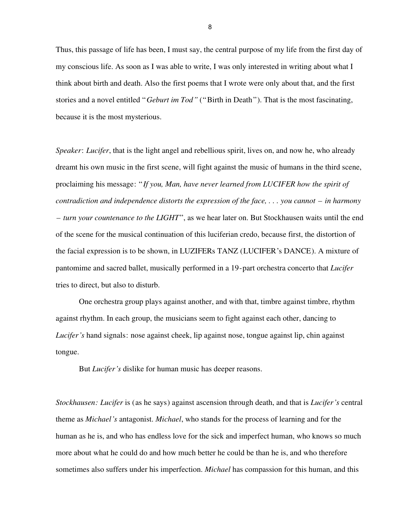Thus, this passage of life has been, I must say, the central purpose of my life from the first day of my conscious life. As soon as I was able to write, I was only interested in writing about what I think about birth and death. Also the first poems that I wrote were only about that, and the first stories and a novel entitled "*Geburt im Tod"* ("Birth in Death"). That is the most fascinating, because it is the most mysterious.

*Speaker*: *Lucifer*, that is the light angel and rebellious spirit, lives on, and now he, who already dreamt his own music in the first scene, will fight against the music of humans in the third scene, proclaiming his message: "*If you, Man, have never learned from LUCIFER how the spirit of contradiction and independence distorts the expression of the face, . . . you cannot – in harmony – turn your countenance to the LIGHT*", as we hear later on. But Stockhausen waits until the end of the scene for the musical continuation of this luciferian credo, because first, the distortion of the facial expression is to be shown, in LUZIFERs TANZ (LUCIFER's DANCE). A mixture of pantomime and sacred ballet, musically performed in a 19-part orchestra concerto that *Lucifer* tries to direct, but also to disturb.

One orchestra group plays against another, and with that, timbre against timbre, rhythm against rhythm. In each group, the musicians seem to fight against each other, dancing to *Lucifer's* hand signals: nose against cheek, lip against nose, tongue against lip, chin against tongue.

But *Lucifer's* dislike for human music has deeper reasons.

*Stockhausen: Lucifer* is (as he says) against ascension through death, and that is *Lucifer's* central theme as *Michael's* antagonist. *Michael*, who stands for the process of learning and for the human as he is, and who has endless love for the sick and imperfect human, who knows so much more about what he could do and how much better he could be than he is, and who therefore sometimes also suffers under his imperfection. *Michael* has compassion for this human, and this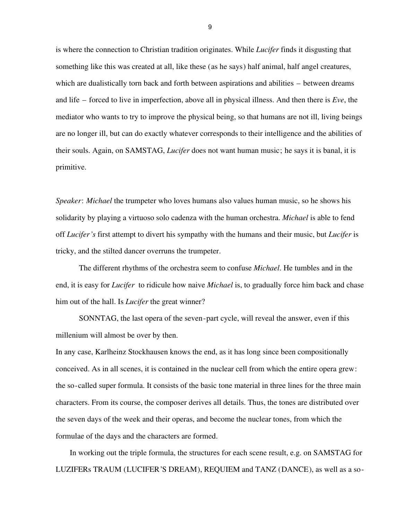is where the connection to Christian tradition originates. While *Lucifer* finds it disgusting that something like this was created at all, like these (as he says) half animal, half angel creatures, which are dualistically torn back and forth between aspirations and abilities – between dreams and life – forced to live in imperfection, above all in physical illness. And then there is *Eve*, the mediator who wants to try to improve the physical being, so that humans are not ill, living beings are no longer ill, but can do exactly whatever corresponds to their intelligence and the abilities of their souls. Again, on SAMSTAG, *Lucifer* does not want human music; he says it is banal, it is primitive.

*Speaker*: *Michael* the trumpeter who loves humans also values human music, so he shows his solidarity by playing a virtuoso solo cadenza with the human orchestra. *Michael* is able to fend off *Lucifer's* first attempt to divert his sympathy with the humans and their music, but *Lucifer* is tricky, and the stilted dancer overruns the trumpeter.

The different rhythms of the orchestra seem to confuse *Michael*. He tumbles and in the end, it is easy for *Lucifer* to ridicule how naive *Michael* is, to gradually force him back and chase him out of the hall. Is *Lucifer* the great winner?

SONNTAG, the last opera of the seven-part cycle, will reveal the answer, even if this millenium will almost be over by then.

In any case, Karlheinz Stockhausen knows the end, as it has long since been compositionally conceived. As in all scenes, it is contained in the nuclear cell from which the entire opera grew: the so-called super formula. It consists of the basic tone material in three lines for the three main characters. From its course, the composer derives all details. Thus, the tones are distributed over the seven days of the week and their operas, and become the nuclear tones, from which the formulae of the days and the characters are formed.

In working out the triple formula, the structures for each scene result, e.g. on SAMSTAG for LUZIFERs TRAUM (LUCIFER'S DREAM), REQUIEM and TANZ (DANCE), as well as a so-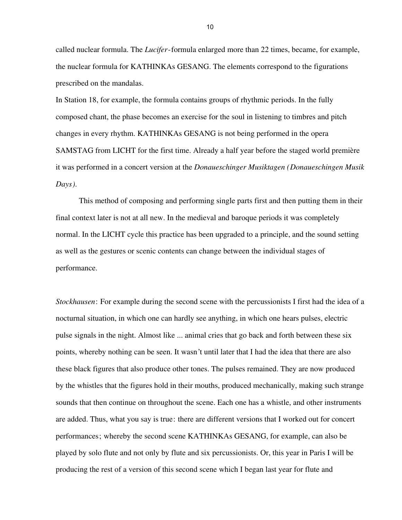called nuclear formula. The *Lucifer*-formula enlarged more than 22 times, became, for example, the nuclear formula for KATHINKAs GESANG. The elements correspond to the figurations prescribed on the mandalas.

In Station 18, for example, the formula contains groups of rhythmic periods. In the fully composed chant, the phase becomes an exercise for the soul in listening to timbres and pitch changes in every rhythm. KATHINKAs GESANG is not being performed in the opera SAMSTAG from LICHT for the first time. Already a half year before the staged world première it was performed in a concert version at the *Donaueschinger Musiktagen (Donaueschingen Musik Days)*.

This method of composing and performing single parts first and then putting them in their final context later is not at all new. In the medieval and baroque periods it was completely normal. In the LICHT cycle this practice has been upgraded to a principle, and the sound setting as well as the gestures or scenic contents can change between the individual stages of performance.

*Stockhausen*: For example during the second scene with the percussionists I first had the idea of a nocturnal situation, in which one can hardly see anything, in which one hears pulses, electric pulse signals in the night. Almost like ... animal cries that go back and forth between these six points, whereby nothing can be seen. It wasn't until later that I had the idea that there are also these black figures that also produce other tones. The pulses remained. They are now produced by the whistles that the figures hold in their mouths, produced mechanically, making such strange sounds that then continue on throughout the scene. Each one has a whistle, and other instruments are added. Thus, what you say is true: there are different versions that I worked out for concert performances; whereby the second scene KATHINKAs GESANG, for example, can also be played by solo flute and not only by flute and six percussionists. Or, this year in Paris I will be producing the rest of a version of this second scene which I began last year for flute and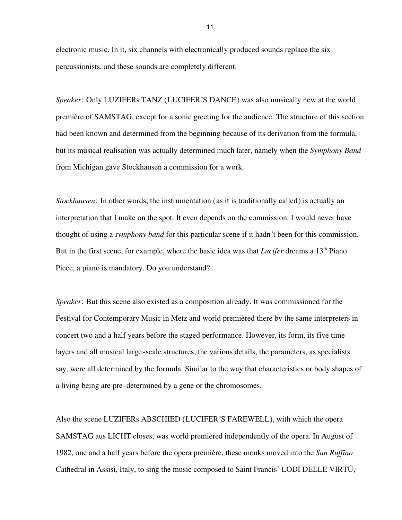electronic music. In it, six channels with electronically produced sounds replace the six percussionists, and these sounds are completely different.

*Speaker*: Only LUZIFERs TANZ (LUCIFER'S DANCE) was also musically new at the world première of SAMSTAG, except for a sonic greeting for the audience. The structure of this section had been known and determined from the beginning because of its derivation from the formula, but its musical realisation was actually determined much later, namely when the *Symphony Band* from Michigan gave Stockhausen a commission for a work.

*Stockhausen*: In other words, the instrumentation (as it is traditionally called) is actually an interpretation that I make on the spot. It even depends on the commission. I would never have thought of using a *symphony band* for this particular scene if it hadn't been for this commission. But in the first scene, for example, where the basic idea was that *Lucifer* dreams a 13<sup>th</sup> Piano Piece, a piano is mandatory. Do you understand?

*Speaker*: But this scene also existed as a composition already. It was commissioned for the Festival for Contemporary Music in Metz and world premièred there by the same interpreters in concert two and a half years before the staged performance. However, its form, its five time layers and all musical large-scale structures, the various details, the parameters, as specialists say, were all determined by the formula. Similar to the way that characteristics or body shapes of a living being are pre-determined by a gene or the chromosomes.

Also the scene LUZIFERs ABSCHIED (LUCIFER'S FAREWELL), with which the opera SAMSTAG aus LICHT closes, was world premièred independently of the opera. In August of 1982, one and a half years before the opera première, these monks moved into the *San Ruffino* Cathedral in Assisi, Italy, to sing the music composed to Saint Francis' LODI DELLE VIRTÚ,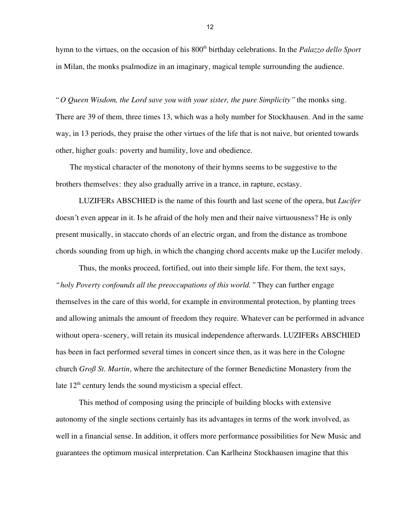hymn to the virtues, on the occasion of his 800<sup>th</sup> birthday celebrations. In the *Palazzo dello Sport* in Milan, the monks psalmodize in an imaginary, magical temple surrounding the audience.

"*O Queen Wisdom, the Lord save you with your sister, the pure Simplicity"* the monks sing. There are 39 of them, three times 13, which was a holy number for Stockhausen. And in the same way, in 13 periods, they praise the other virtues of the life that is not naive, but oriented towards other, higher goals: poverty and humility, love and obedience.

The mystical character of the monotony of their hymns seems to be suggestive to the brothers themselves: they also gradually arrive in a trance, in rapture, ecstasy.

LUZIFERs ABSCHIED is the name of this fourth and last scene of the opera, but *Lucifer* doesn't even appear in it. Is he afraid of the holy men and their naive virtuousness? He is only present musically, in staccato chords of an electric organ, and from the distance as trombone chords sounding from up high, in which the changing chord accents make up the Lucifer melody.

Thus, the monks proceed, fortified, out into their simple life. For them, the text says, *"holy Poverty confounds all the preoccupations of this world."* They can further engage themselves in the care of this world, for example in environmental protection, by planting trees and allowing animals the amount of freedom they require. Whatever can be performed in advance without opera-scenery, will retain its musical independence afterwards. LUZIFERs ABSCHIED has been in fact performed several times in concert since then, as it was here in the Cologne church *Groß St. Martin*, where the architecture of the former Benedictine Monastery from the late  $12<sup>th</sup>$  century lends the sound mysticism a special effect.

This method of composing using the principle of building blocks with extensive autonomy of the single sections certainly has its advantages in terms of the work involved, as well in a financial sense. In addition, it offers more performance possibilities for New Music and guarantees the optimum musical interpretation. Can Karlheinz Stockhausen imagine that this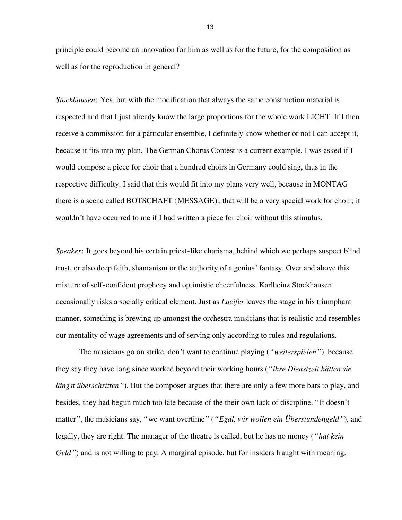principle could become an innovation for him as well as for the future, for the composition as well as for the reproduction in general?

*Stockhausen*: Yes, but with the modification that always the same construction material is respected and that I just already know the large proportions for the whole work LICHT. If I then receive a commission for a particular ensemble, I definitely know whether or not I can accept it, because it fits into my plan. The German Chorus Contest is a current example. I was asked if I would compose a piece for choir that a hundred choirs in Germany could sing, thus in the respective difficulty. I said that this would fit into my plans very well, because in MONTAG there is a scene called BOTSCHAFT (MESSAGE); that will be a very special work for choir; it wouldn't have occurred to me if I had written a piece for choir without this stimulus.

*Speaker*: It goes beyond his certain priest-like charisma, behind which we perhaps suspect blind trust, or also deep faith, shamanism or the authority of a genius' fantasy. Over and above this mixture of self-confident prophecy and optimistic cheerfulness, Karlheinz Stockhausen occasionally risks a socially critical element. Just as *Lucifer* leaves the stage in his triumphant manner, something is brewing up amongst the orchestra musicians that is realistic and resembles our mentality of wage agreements and of serving only according to rules and regulations.

The musicians go on strike, don't want to continue playing (*"weiterspielen"*), because they say they have long since worked beyond their working hours (*"ihre Dienstzeit hätten sie längst überschritten*"). But the composer argues that there are only a few more bars to play, and besides, they had begun much too late because of the their own lack of discipline. "It doesn't matter", the musicians say, "we want overtime" (*"Egal, wir wollen ein Überstundengeld"*), and legally, they are right. The manager of the theatre is called, but he has no money (*"hat kein Geld"*) and is not willing to pay. A marginal episode, but for insiders fraught with meaning.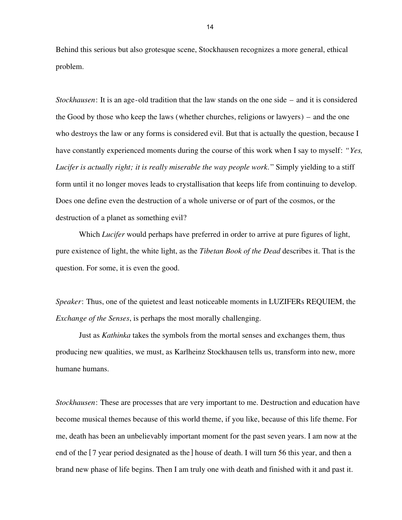Behind this serious but also grotesque scene, Stockhausen recognizes a more general, ethical problem.

*Stockhausen*: It is an age-old tradition that the law stands on the one side – and it is considered the Good by those who keep the laws (whether churches, religions or lawyers) – and the one who destroys the law or any forms is considered evil. But that is actually the question, because I have constantly experienced moments during the course of this work when I say to myself: *"Yes, Lucifer is actually right; it is really miserable the way people work*." Simply yielding to a stiff form until it no longer moves leads to crystallisation that keeps life from continuing to develop. Does one define even the destruction of a whole universe or of part of the cosmos, or the destruction of a planet as something evil?

Which *Lucifer* would perhaps have preferred in order to arrive at pure figures of light, pure existence of light, the white light, as the *Tibetan Book of the Dead* describes it. That is the question. For some, it is even the good.

*Speaker*: Thus, one of the quietest and least noticeable moments in LUZIFERs REQUIEM, the *Exchange of the Senses*, is perhaps the most morally challenging.

Just as *Kathinka* takes the symbols from the mortal senses and exchanges them, thus producing new qualities, we must, as Karlheinz Stockhausen tells us, transform into new, more humane humans.

*Stockhausen*: These are processes that are very important to me. Destruction and education have become musical themes because of this world theme, if you like, because of this life theme. For me, death has been an unbelievably important moment for the past seven years. I am now at the end of the [7 year period designated as the] house of death. I will turn 56 this year, and then a brand new phase of life begins. Then I am truly one with death and finished with it and past it.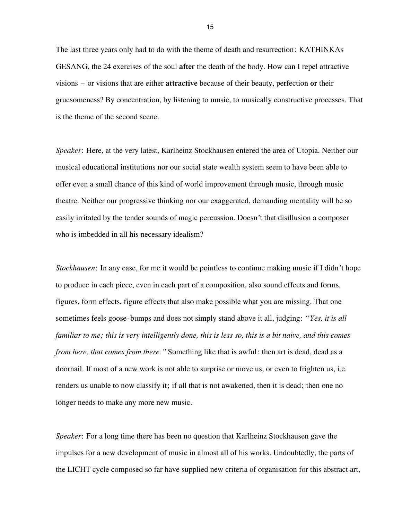The last three years only had to do with the theme of death and resurrection: KATHINKAs GESANG, the 24 exercises of the soul **after** the death of the body. How can I repel attractive visions – or visions that are either **attractive** because of their beauty, perfection **or** their gruesomeness? By concentration, by listening to music, to musically constructive processes. That is the theme of the second scene.

*Speaker*: Here, at the very latest, Karlheinz Stockhausen entered the area of Utopia. Neither our musical educational institutions nor our social state wealth system seem to have been able to offer even a small chance of this kind of world improvement through music, through music theatre. Neither our progressive thinking nor our exaggerated, demanding mentality will be so easily irritated by the tender sounds of magic percussion. Doesn't that disillusion a composer who is imbedded in all his necessary idealism?

*Stockhausen*: In any case, for me it would be pointless to continue making music if I didn't hope to produce in each piece, even in each part of a composition, also sound effects and forms, figures, form effects, figure effects that also make possible what you are missing. That one sometimes feels goose-bumps and does not simply stand above it all, judging: *"Yes, it is all familiar to me; this is very intelligently done, this is less so, this is a bit naive, and this comes from here, that comes from there."* Something like that is awful: then art is dead, dead as a doornail. If most of a new work is not able to surprise or move us, or even to frighten us, i.e. renders us unable to now classify it; if all that is not awakened, then it is dead; then one no longer needs to make any more new music.

*Speaker*: For a long time there has been no question that Karlheinz Stockhausen gave the impulses for a new development of music in almost all of his works. Undoubtedly, the parts of the LICHT cycle composed so far have supplied new criteria of organisation for this abstract art,